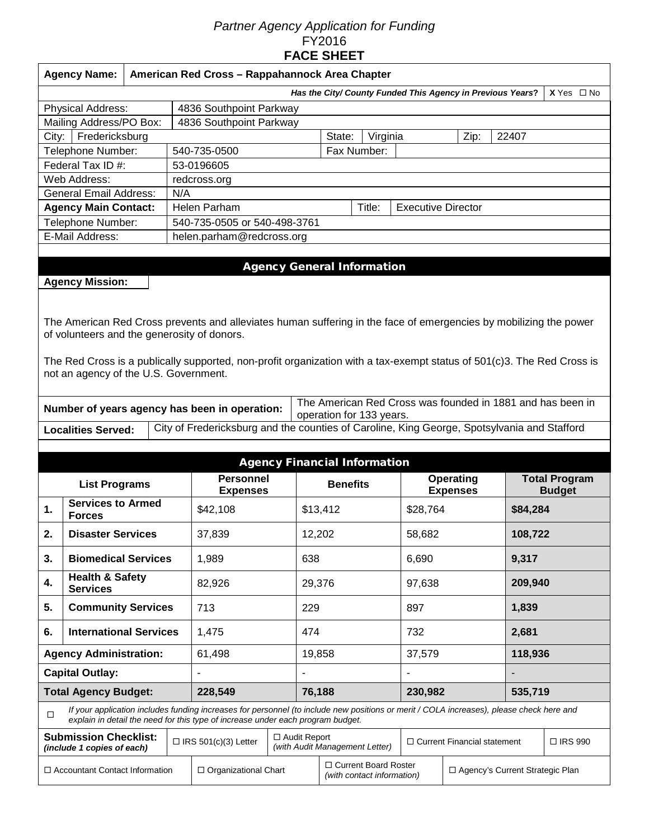## *Partner Agency Application for Funding*  FY2016 **FACE SHEET**

|                                                                                                                          | <b>Agency Name:</b>                                                             | American Red Cross - Rappahannock Area Chapter |                                                    |                                                                                                                                                                                                                             |                                     |                                                      |                                                            |                 |                                   |               |         |  |  |
|--------------------------------------------------------------------------------------------------------------------------|---------------------------------------------------------------------------------|------------------------------------------------|----------------------------------------------------|-----------------------------------------------------------------------------------------------------------------------------------------------------------------------------------------------------------------------------|-------------------------------------|------------------------------------------------------|------------------------------------------------------------|-----------------|-----------------------------------|---------------|---------|--|--|
|                                                                                                                          | Has the City/ County Funded This Agency in Previous Years?<br>$X$ Yes $\Box$ No |                                                |                                                    |                                                                                                                                                                                                                             |                                     |                                                      |                                                            |                 |                                   |               |         |  |  |
| Physical Address:<br>4836 Southpoint Parkway                                                                             |                                                                                 |                                                |                                                    |                                                                                                                                                                                                                             |                                     |                                                      |                                                            |                 |                                   |               |         |  |  |
|                                                                                                                          | Mailing Address/PO Box:                                                         |                                                |                                                    | 4836 Southpoint Parkway                                                                                                                                                                                                     |                                     |                                                      |                                                            |                 |                                   |               |         |  |  |
| Fredericksburg<br>City:                                                                                                  |                                                                                 |                                                |                                                    |                                                                                                                                                                                                                             | Virginia<br>22407<br>State:<br>Zip: |                                                      |                                                            |                 |                                   |               |         |  |  |
|                                                                                                                          | Telephone Number:                                                               |                                                |                                                    | 540-735-0500                                                                                                                                                                                                                | Fax Number:                         |                                                      |                                                            |                 |                                   |               |         |  |  |
|                                                                                                                          | Federal Tax ID #:                                                               |                                                |                                                    | 53-0196605                                                                                                                                                                                                                  |                                     |                                                      |                                                            |                 |                                   |               |         |  |  |
|                                                                                                                          | Web Address:                                                                    |                                                |                                                    | redcross.org                                                                                                                                                                                                                |                                     |                                                      |                                                            |                 |                                   |               |         |  |  |
|                                                                                                                          | <b>General Email Address:</b>                                                   |                                                | N/A                                                |                                                                                                                                                                                                                             |                                     |                                                      |                                                            |                 |                                   |               |         |  |  |
|                                                                                                                          | <b>Agency Main Contact:</b>                                                     |                                                |                                                    | Helen Parham                                                                                                                                                                                                                | Title:<br><b>Executive Director</b> |                                                      |                                                            |                 |                                   |               |         |  |  |
|                                                                                                                          | Telephone Number:                                                               |                                                |                                                    | 540-735-0505 or 540-498-3761                                                                                                                                                                                                |                                     |                                                      |                                                            |                 |                                   |               |         |  |  |
|                                                                                                                          | E-Mail Address:                                                                 |                                                |                                                    | helen.parham@redcross.org                                                                                                                                                                                                   |                                     |                                                      |                                                            |                 |                                   |               |         |  |  |
|                                                                                                                          |                                                                                 |                                                |                                                    |                                                                                                                                                                                                                             |                                     |                                                      |                                                            |                 |                                   |               |         |  |  |
|                                                                                                                          |                                                                                 |                                                |                                                    |                                                                                                                                                                                                                             |                                     |                                                      | <b>Agency General Information</b>                          |                 |                                   |               |         |  |  |
|                                                                                                                          | <b>Agency Mission:</b>                                                          |                                                |                                                    |                                                                                                                                                                                                                             |                                     |                                                      |                                                            |                 |                                   |               |         |  |  |
|                                                                                                                          |                                                                                 |                                                |                                                    |                                                                                                                                                                                                                             |                                     |                                                      |                                                            |                 |                                   |               |         |  |  |
|                                                                                                                          |                                                                                 |                                                |                                                    |                                                                                                                                                                                                                             |                                     |                                                      |                                                            |                 |                                   |               |         |  |  |
|                                                                                                                          |                                                                                 |                                                |                                                    | The American Red Cross prevents and alleviates human suffering in the face of emergencies by mobilizing the power                                                                                                           |                                     |                                                      |                                                            |                 |                                   |               |         |  |  |
|                                                                                                                          | of volunteers and the generosity of donors.                                     |                                                |                                                    |                                                                                                                                                                                                                             |                                     |                                                      |                                                            |                 |                                   |               |         |  |  |
|                                                                                                                          |                                                                                 |                                                |                                                    | The Red Cross is a publically supported, non-profit organization with a tax-exempt status of 501(c)3. The Red Cross is                                                                                                      |                                     |                                                      |                                                            |                 |                                   |               |         |  |  |
|                                                                                                                          | not an agency of the U.S. Government.                                           |                                                |                                                    |                                                                                                                                                                                                                             |                                     |                                                      |                                                            |                 |                                   |               |         |  |  |
|                                                                                                                          |                                                                                 |                                                |                                                    |                                                                                                                                                                                                                             |                                     |                                                      |                                                            |                 |                                   |               |         |  |  |
|                                                                                                                          |                                                                                 |                                                |                                                    |                                                                                                                                                                                                                             |                                     |                                                      | The American Red Cross was founded in 1881 and has been in |                 |                                   |               |         |  |  |
|                                                                                                                          |                                                                                 |                                                |                                                    | Number of years agency has been in operation:                                                                                                                                                                               |                                     |                                                      | operation for 133 years.                                   |                 |                                   |               |         |  |  |
| City of Fredericksburg and the counties of Caroline, King George, Spotsylvania and Stafford<br><b>Localities Served:</b> |                                                                                 |                                                |                                                    |                                                                                                                                                                                                                             |                                     |                                                      |                                                            |                 |                                   |               |         |  |  |
|                                                                                                                          |                                                                                 |                                                |                                                    |                                                                                                                                                                                                                             |                                     |                                                      |                                                            |                 |                                   |               |         |  |  |
|                                                                                                                          | <b>Agency Financial Information</b>                                             |                                                |                                                    |                                                                                                                                                                                                                             |                                     |                                                      |                                                            |                 |                                   |               |         |  |  |
|                                                                                                                          | <b>Personnel</b><br><b>Operating</b><br><b>Total Program</b>                    |                                                |                                                    |                                                                                                                                                                                                                             |                                     |                                                      |                                                            |                 |                                   |               |         |  |  |
| <b>List Programs</b>                                                                                                     |                                                                                 |                                                | <b>Expenses</b>                                    |                                                                                                                                                                                                                             |                                     | <b>Benefits</b>                                      |                                                            | <b>Expenses</b> |                                   | <b>Budget</b> |         |  |  |
| 1.                                                                                                                       | <b>Services to Armed</b><br><b>Forces</b>                                       |                                                |                                                    | \$42,108                                                                                                                                                                                                                    |                                     |                                                      | \$13,412                                                   | \$28,764        |                                   | \$84,284      |         |  |  |
|                                                                                                                          |                                                                                 |                                                |                                                    |                                                                                                                                                                                                                             |                                     |                                                      |                                                            |                 |                                   |               |         |  |  |
| 2.                                                                                                                       | <b>Disaster Services</b>                                                        |                                                |                                                    | 37,839                                                                                                                                                                                                                      |                                     | 12,202                                               |                                                            | 58,682          |                                   |               | 108,722 |  |  |
| 3.                                                                                                                       | <b>Biomedical Services</b>                                                      |                                                |                                                    | 1,989                                                                                                                                                                                                                       |                                     | 638                                                  |                                                            |                 | 6,690                             |               | 9,317   |  |  |
|                                                                                                                          |                                                                                 |                                                |                                                    |                                                                                                                                                                                                                             |                                     |                                                      |                                                            |                 |                                   |               |         |  |  |
| 4.                                                                                                                       | <b>Health &amp; Safety</b><br><b>Services</b>                                   |                                                |                                                    | 82,926                                                                                                                                                                                                                      |                                     | 29,376                                               |                                                            | 97,638          |                                   |               | 209,940 |  |  |
|                                                                                                                          |                                                                                 |                                                |                                                    |                                                                                                                                                                                                                             |                                     |                                                      |                                                            |                 |                                   |               |         |  |  |
| 5.                                                                                                                       | <b>Community Services</b>                                                       |                                                |                                                    | 713                                                                                                                                                                                                                         |                                     | 229                                                  |                                                            |                 | 897                               |               | 1,839   |  |  |
| 6.                                                                                                                       | <b>International Services</b>                                                   |                                                |                                                    | 1,475                                                                                                                                                                                                                       |                                     | 474                                                  |                                                            | 732             |                                   |               | 2,681   |  |  |
| <b>Agency Administration:</b>                                                                                            |                                                                                 |                                                |                                                    | 61,498                                                                                                                                                                                                                      |                                     | 19,858                                               |                                                            | 37,579          |                                   |               | 118,936 |  |  |
|                                                                                                                          |                                                                                 |                                                |                                                    |                                                                                                                                                                                                                             |                                     |                                                      |                                                            |                 |                                   |               |         |  |  |
| <b>Capital Outlay:</b>                                                                                                   |                                                                                 |                                                |                                                    |                                                                                                                                                                                                                             |                                     |                                                      |                                                            |                 |                                   |               |         |  |  |
| <b>Total Agency Budget:</b><br>228,549                                                                                   |                                                                                 |                                                |                                                    |                                                                                                                                                                                                                             |                                     | 76,188                                               |                                                            | 230,982         |                                   | 535,719       |         |  |  |
| $\Box$                                                                                                                   |                                                                                 |                                                |                                                    | If your application includes funding increases for personnel (to include new positions or merit / COLA increases), please check here and<br>explain in detail the need for this type of increase under each program budget. |                                     |                                                      |                                                            |                 |                                   |               |         |  |  |
| <b>Submission Checklist:</b><br>(include 1 copies of each)                                                               |                                                                                 |                                                | $\Box$ Audit Report<br>$\Box$ IRS 501(c)(3) Letter |                                                                                                                                                                                                                             | (with Audit Management Letter)      |                                                      | $\Box$ Current Financial statement                         |                 | □ IRS 990                         |               |         |  |  |
| $\Box$ Accountant Contact Information                                                                                    |                                                                                 |                                                |                                                    | $\Box$ Organizational Chart                                                                                                                                                                                                 |                                     | □ Current Board Roster<br>(with contact information) |                                                            |                 | □ Agency's Current Strategic Plan |               |         |  |  |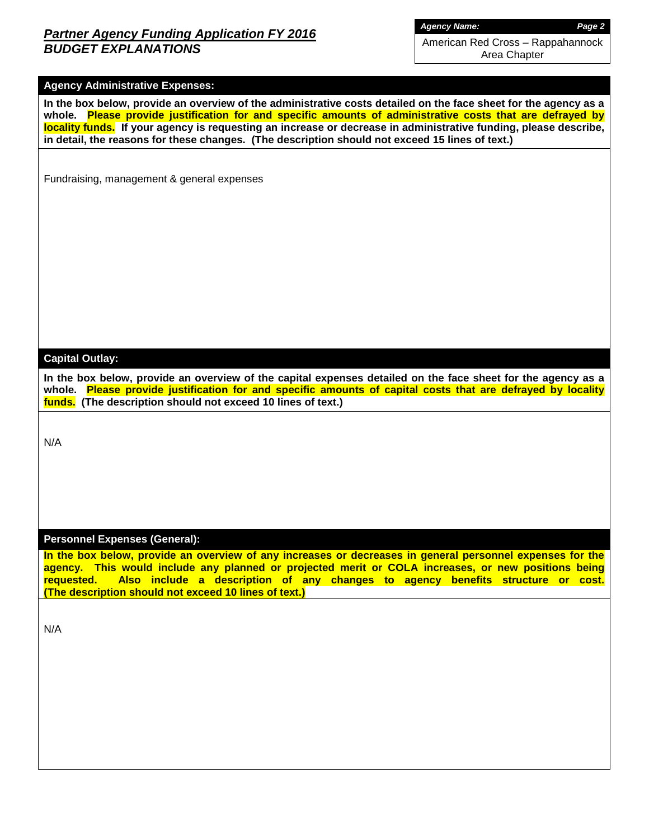## *Partner Agency Funding Application FY 2016 BUDGET EXPLANATIONS*

*Agency Name: Page 2*

American Red Cross – Rappahannock Area Chapter

### **Agency Administrative Expenses:**

**In the box below, provide an overview of the administrative costs detailed on the face sheet for the agency as a whole. Please provide justification for and specific amounts of administrative costs that are defrayed by locality funds. If your agency is requesting an increase or decrease in administrative funding, please describe, in detail, the reasons for these changes. (The description should not exceed 15 lines of text.)**

Fundraising, management & general expenses

#### **Capital Outlay:**

**In the box below, provide an overview of the capital expenses detailed on the face sheet for the agency as a whole. Please provide justification for and specific amounts of capital costs that are defrayed by locality funds. (The description should not exceed 10 lines of text.)**

N/A

#### **Personnel Expenses (General):**

**In the box below, provide an overview of any increases or decreases in general personnel expenses for the agency. This would include any planned or projected merit or COLA increases, or new positions being requested. Also include a description of any changes to agency benefits structure or cost. (The description should not exceed 10 lines of text.)**

N/A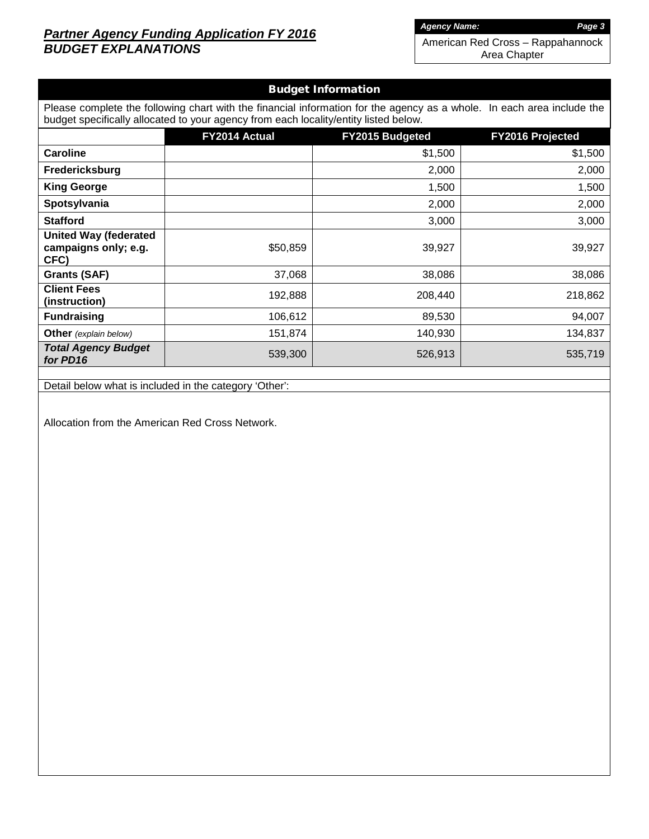## *Partner Agency Funding Application FY 2016 BUDGET EXPLANATIONS*

*Agency Name: Page 3*

American Red Cross – Rappahannock Area Chapter

## Budget Information

| Please complete the following chart with the financial information for the agency as a whole. In each area include the<br>budget specifically allocated to your agency from each locality/entity listed below. |               |                        |                         |  |  |  |  |  |  |
|----------------------------------------------------------------------------------------------------------------------------------------------------------------------------------------------------------------|---------------|------------------------|-------------------------|--|--|--|--|--|--|
|                                                                                                                                                                                                                | FY2014 Actual | <b>FY2015 Budgeted</b> | <b>FY2016 Projected</b> |  |  |  |  |  |  |
| <b>Caroline</b>                                                                                                                                                                                                |               | \$1,500                | \$1,500                 |  |  |  |  |  |  |
| Fredericksburg                                                                                                                                                                                                 |               | 2,000                  | 2,000                   |  |  |  |  |  |  |
| <b>King George</b>                                                                                                                                                                                             |               | 1,500                  | 1,500                   |  |  |  |  |  |  |
| Spotsylvania                                                                                                                                                                                                   |               | 2,000                  | 2,000                   |  |  |  |  |  |  |
| <b>Stafford</b>                                                                                                                                                                                                |               | 3,000                  | 3,000                   |  |  |  |  |  |  |
| <b>United Way (federated</b><br>campaigns only; e.g.<br>CFC)                                                                                                                                                   | \$50,859      | 39,927                 | 39,927                  |  |  |  |  |  |  |
| <b>Grants (SAF)</b>                                                                                                                                                                                            | 37,068        | 38,086                 | 38,086                  |  |  |  |  |  |  |
| <b>Client Fees</b><br>(instruction)                                                                                                                                                                            | 192,888       | 208,440                | 218,862                 |  |  |  |  |  |  |
| <b>Fundraising</b>                                                                                                                                                                                             | 106,612       | 89,530                 | 94,007                  |  |  |  |  |  |  |
| <b>Other</b> (explain below)                                                                                                                                                                                   | 151,874       | 140,930                | 134,837                 |  |  |  |  |  |  |
| <b>Total Agency Budget</b><br>for PD16                                                                                                                                                                         | 539,300       | 526,913                | 535,719                 |  |  |  |  |  |  |
|                                                                                                                                                                                                                |               |                        |                         |  |  |  |  |  |  |

Detail below what is included in the category 'Other':

Allocation from the American Red Cross Network.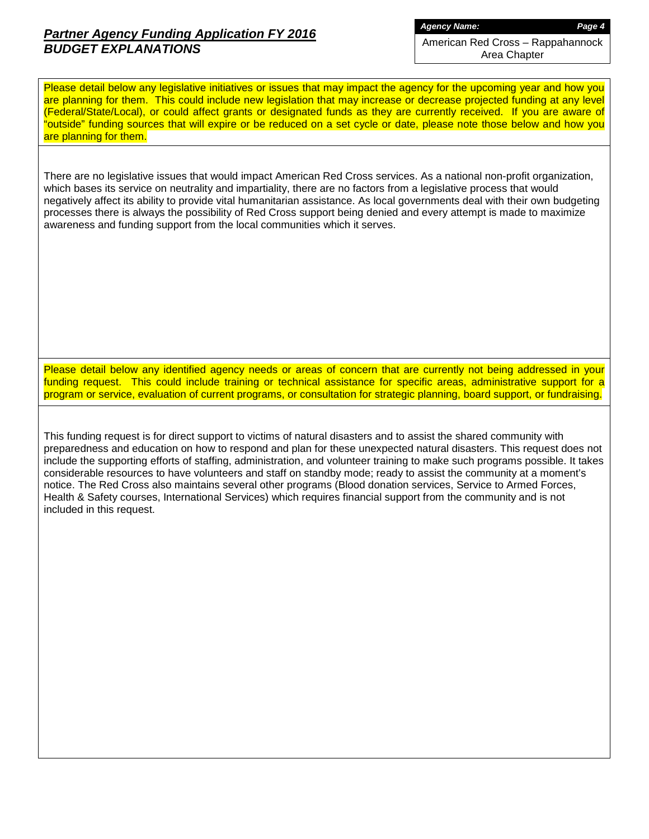## *Partner Agency Funding Application FY 2016 BUDGET EXPLANATIONS*

*Agency Name: Page 4*

American Red Cross – Rappahannock Area Chapter

Please detail below any legislative initiatives or issues that may impact the agency for the upcoming year and how you are planning for them. This could include new legislation that may increase or decrease projected funding at any level (Federal/State/Local), or could affect grants or designated funds as they are currently received. If you are aware of "outside" funding sources that will expire or be reduced on a set cycle or date, please note those below and how you are planning for them.

There are no legislative issues that would impact American Red Cross services. As a national non-profit organization, which bases its service on neutrality and impartiality, there are no factors from a legislative process that would negatively affect its ability to provide vital humanitarian assistance. As local governments deal with their own budgeting processes there is always the possibility of Red Cross support being denied and every attempt is made to maximize awareness and funding support from the local communities which it serves.

Please detail below any identified agency needs or areas of concern that are currently not being addressed in your funding request. This could include training or technical assistance for specific areas, administrative support for a program or service, evaluation of current programs, or consultation for strategic planning, board support, or fundraising.

This funding request is for direct support to victims of natural disasters and to assist the shared community with preparedness and education on how to respond and plan for these unexpected natural disasters. This request does not include the supporting efforts of staffing, administration, and volunteer training to make such programs possible. It takes considerable resources to have volunteers and staff on standby mode; ready to assist the community at a moment's notice. The Red Cross also maintains several other programs (Blood donation services, Service to Armed Forces, Health & Safety courses, International Services) which requires financial support from the community and is not included in this request.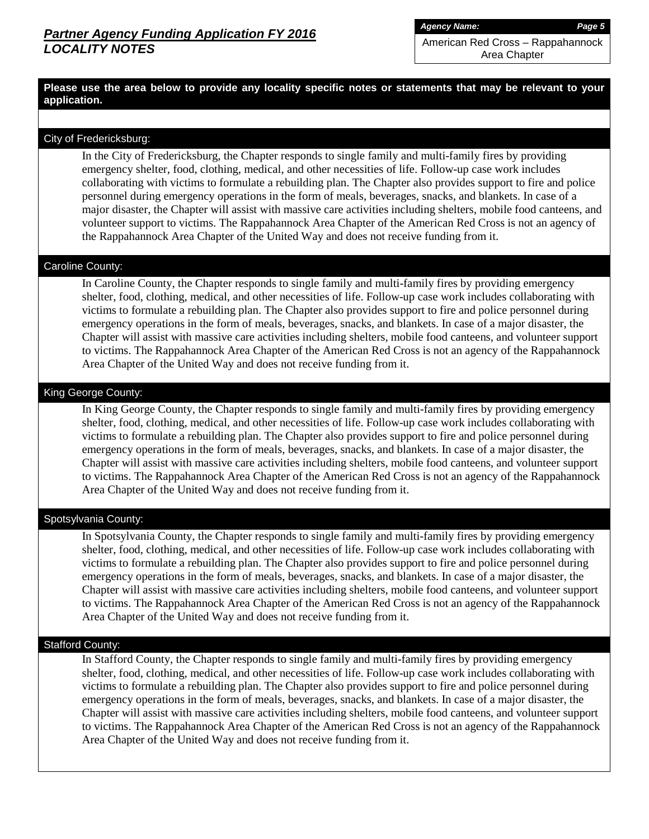*Agency Name: Page 5*

American Red Cross – Rappahannock Area Chapter

**Please use the area below to provide any locality specific notes or statements that may be relevant to your application.**

#### City of Fredericksburg:

In the City of Fredericksburg, the Chapter responds to single family and multi-family fires by providing emergency shelter, food, clothing, medical, and other necessities of life. Follow-up case work includes collaborating with victims to formulate a rebuilding plan. The Chapter also provides support to fire and police personnel during emergency operations in the form of meals, beverages, snacks, and blankets. In case of a major disaster, the Chapter will assist with massive care activities including shelters, mobile food canteens, and volunteer support to victims. The Rappahannock Area Chapter of the American Red Cross is not an agency of the Rappahannock Area Chapter of the United Way and does not receive funding from it.

#### Caroline County:

In Caroline County, the Chapter responds to single family and multi-family fires by providing emergency shelter, food, clothing, medical, and other necessities of life. Follow-up case work includes collaborating with victims to formulate a rebuilding plan. The Chapter also provides support to fire and police personnel during emergency operations in the form of meals, beverages, snacks, and blankets. In case of a major disaster, the Chapter will assist with massive care activities including shelters, mobile food canteens, and volunteer support to victims. The Rappahannock Area Chapter of the American Red Cross is not an agency of the Rappahannock Area Chapter of the United Way and does not receive funding from it.

## King George County:

In King George County, the Chapter responds to single family and multi-family fires by providing emergency shelter, food, clothing, medical, and other necessities of life. Follow-up case work includes collaborating with victims to formulate a rebuilding plan. The Chapter also provides support to fire and police personnel during emergency operations in the form of meals, beverages, snacks, and blankets. In case of a major disaster, the Chapter will assist with massive care activities including shelters, mobile food canteens, and volunteer support to victims. The Rappahannock Area Chapter of the American Red Cross is not an agency of the Rappahannock Area Chapter of the United Way and does not receive funding from it.

#### Spotsylvania County:

In Spotsylvania County, the Chapter responds to single family and multi-family fires by providing emergency shelter, food, clothing, medical, and other necessities of life. Follow-up case work includes collaborating with victims to formulate a rebuilding plan. The Chapter also provides support to fire and police personnel during emergency operations in the form of meals, beverages, snacks, and blankets. In case of a major disaster, the Chapter will assist with massive care activities including shelters, mobile food canteens, and volunteer support to victims. The Rappahannock Area Chapter of the American Red Cross is not an agency of the Rappahannock Area Chapter of the United Way and does not receive funding from it.

#### Stafford County:

In Stafford County, the Chapter responds to single family and multi-family fires by providing emergency shelter, food, clothing, medical, and other necessities of life. Follow-up case work includes collaborating with victims to formulate a rebuilding plan. The Chapter also provides support to fire and police personnel during emergency operations in the form of meals, beverages, snacks, and blankets. In case of a major disaster, the Chapter will assist with massive care activities including shelters, mobile food canteens, and volunteer support to victims. The Rappahannock Area Chapter of the American Red Cross is not an agency of the Rappahannock Area Chapter of the United Way and does not receive funding from it.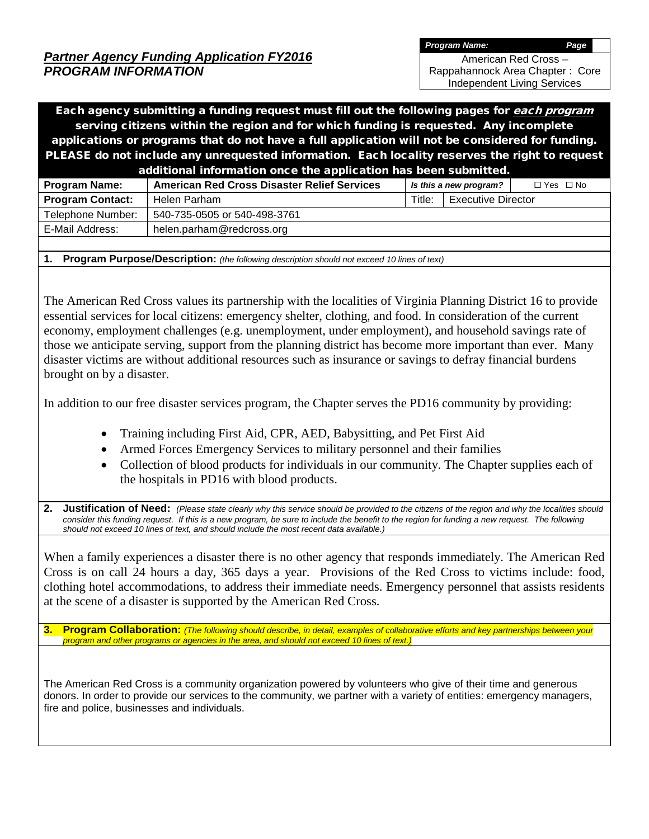*Program Name: Page*

American Red Cross – Rappahannock Area Chapter : Core

Independent Living Services

Each agency submitting a funding request must fill out the following pages for each program serving citizens within the region and for which funding is requested. Any incomplete applications or programs that do not have a full application will not be considered for funding. PLEASE do not include any unrequested information. Each locality reserves the right to request additional information once the application has been submitted.

| <b>Program Name:</b>    | <b>American Red Cross Disaster Relief Services</b> | Is this a new program? |                      | $\Box$ Yes $\Box$ No |  |
|-------------------------|----------------------------------------------------|------------------------|----------------------|----------------------|--|
| <b>Program Contact:</b> | Helen Parham                                       | Title:                 | L Executive Director |                      |  |
| Telephone Number:       | 540-735-0505 or 540-498-3761                       |                        |                      |                      |  |
| E-Mail Address:         | helen.parham@redcross.org                          |                        |                      |                      |  |
|                         |                                                    |                        |                      |                      |  |

**1. Program Purpose/Description:** *(the following description should not exceed 10 lines of text)*

The American Red Cross values its partnership with the localities of Virginia Planning District 16 to provide essential services for local citizens: emergency shelter, clothing, and food. In consideration of the current economy, employment challenges (e.g. unemployment, under employment), and household savings rate of those we anticipate serving, support from the planning district has become more important than ever. Many disaster victims are without additional resources such as insurance or savings to defray financial burdens brought on by a disaster.

In addition to our free disaster services program, the Chapter serves the PD16 community by providing:

- Training including First Aid, CPR, AED, Babysitting, and Pet First Aid
- Armed Forces Emergency Services to military personnel and their families
- Collection of blood products for individuals in our community. The Chapter supplies each of the hospitals in PD16 with blood products.
- **2. Justification of Need:** *(Please state clearly why this service should be provided to the citizens of the region and why the localities should consider this funding request. If this is a new program, be sure to include the benefit to the region for funding a new request. The following should not exceed 10 lines of text, and should include the most recent data available.)*

When a family experiences a disaster there is no other agency that responds immediately. The American Red Cross is on call 24 hours a day, 365 days a year. Provisions of the Red Cross to victims include: food, clothing hotel accommodations, to address their immediate needs. Emergency personnel that assists residents at the scene of a disaster is supported by the American Red Cross.

**3. Program Collaboration:** *(The following should describe, in detail, examples of collaborative efforts and key partnerships between your program and other programs or agencies in the area, and should not exceed 10 lines of text.)*

The American Red Cross is a community organization powered by volunteers who give of their time and generous donors. In order to provide our services to the community, we partner with a variety of entities: emergency managers, fire and police, businesses and individuals.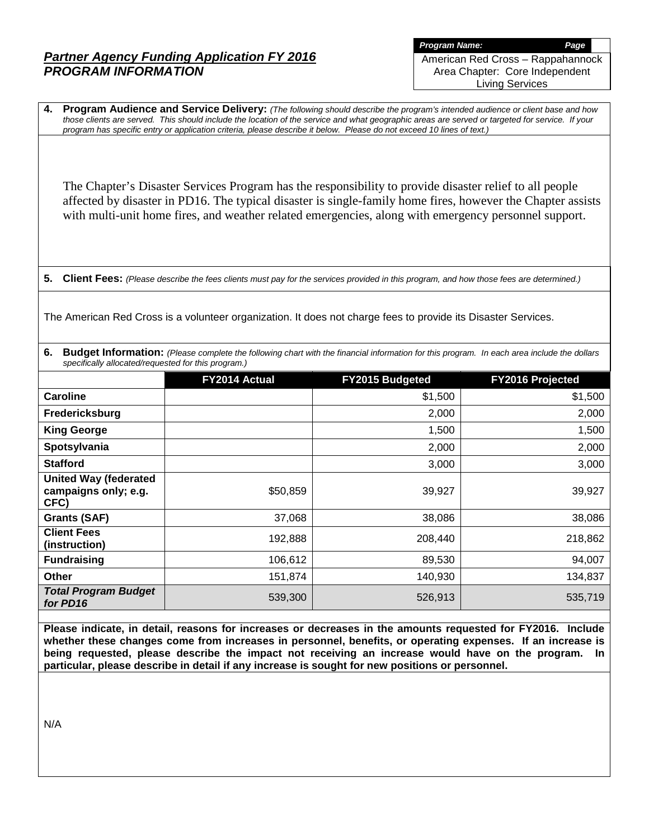*Program Name: Page* American Red Cross – Rappahannock Area Chapter: Core Independent Living Services

**4. Program Audience and Service Delivery:** *(The following should describe the program's intended audience or client base and how those clients are served. This should include the location of the service and what geographic areas are served or targeted for service. If your program has specific entry or application criteria, please describe it below. Please do not exceed 10 lines of text.)*

The Chapter's Disaster Services Program has the responsibility to provide disaster relief to all people affected by disaster in PD16. The typical disaster is single-family home fires, however the Chapter assists with multi-unit home fires, and weather related emergencies, along with emergency personnel support.

**5. Client Fees:** *(Please describe the fees clients must pay for the services provided in this program, and how those fees are determined.)*

The American Red Cross is a volunteer organization. It does not charge fees to provide its Disaster Services.

**6. Budget Information:** *(Please complete the following chart with the financial information for this program. In each area include the dollars specifically allocated/requested for this program.)*

|                                                              | FY2014 Actual | FY2015 Budgeted | <b>FY2016 Projected</b> |
|--------------------------------------------------------------|---------------|-----------------|-------------------------|
| Caroline                                                     |               | \$1,500         | \$1,500                 |
| Fredericksburg                                               |               | 2,000           | 2,000                   |
| <b>King George</b>                                           |               | 1,500           | 1,500                   |
| Spotsylvania                                                 |               | 2,000           | 2,000                   |
| <b>Stafford</b>                                              |               | 3,000           | 3,000                   |
| <b>United Way (federated</b><br>campaigns only; e.g.<br>CFC) | \$50,859      | 39,927          | 39,927                  |
| <b>Grants (SAF)</b>                                          | 37,068        | 38,086          | 38,086                  |
| <b>Client Fees</b><br>(instruction)                          | 192,888       | 208,440         | 218,862                 |
| <b>Fundraising</b>                                           | 106,612       | 89,530          | 94,007                  |
| <b>Other</b>                                                 | 151,874       | 140,930         | 134,837                 |
| <b>Total Program Budget</b><br>for PD16                      | 539,300       | 526,913         | 535,719                 |

**Please indicate, in detail, reasons for increases or decreases in the amounts requested for FY2016. Include whether these changes come from increases in personnel, benefits, or operating expenses. If an increase is being requested, please describe the impact not receiving an increase would have on the program. In particular, please describe in detail if any increase is sought for new positions or personnel.**

N/A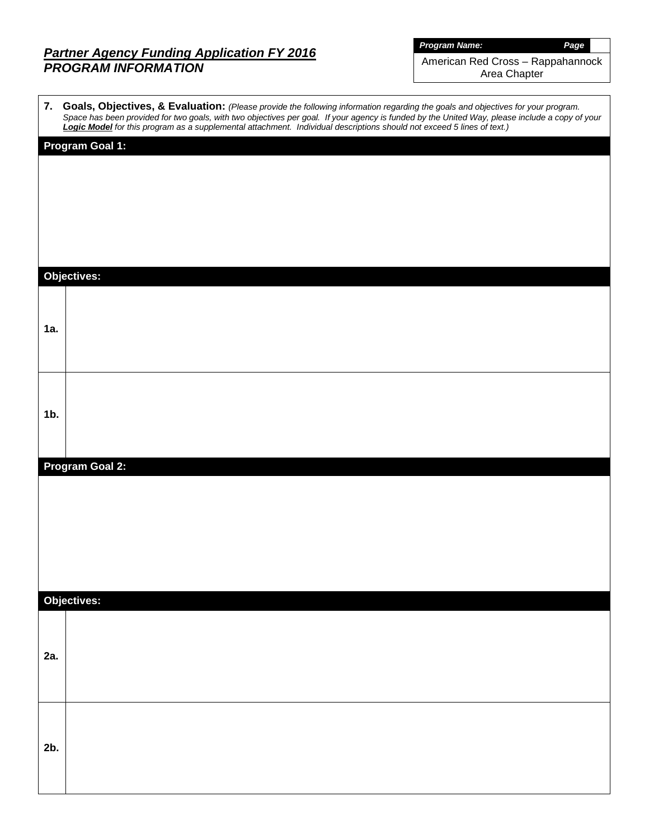*Program Name: Page*

American Red Cross – Rappahannock Area Chapter

 $\overline{\phantom{a}}$ 

|        | 7. Goals, Objectives, & Evaluation: (Please provide the following information regarding the goals and objectives for your program.<br>Space has been provided for two goals, with two objectives per goal. If your agency is funded by the United Way, please include a copy of your Logic Model for this program as a supplemental attachment. Individual descripti |
|--------|----------------------------------------------------------------------------------------------------------------------------------------------------------------------------------------------------------------------------------------------------------------------------------------------------------------------------------------------------------------------|
|        | <b>Program Goal 1:</b>                                                                                                                                                                                                                                                                                                                                               |
|        |                                                                                                                                                                                                                                                                                                                                                                      |
|        |                                                                                                                                                                                                                                                                                                                                                                      |
|        |                                                                                                                                                                                                                                                                                                                                                                      |
|        |                                                                                                                                                                                                                                                                                                                                                                      |
|        | <b>Objectives:</b>                                                                                                                                                                                                                                                                                                                                                   |
|        |                                                                                                                                                                                                                                                                                                                                                                      |
| 1a.    |                                                                                                                                                                                                                                                                                                                                                                      |
|        |                                                                                                                                                                                                                                                                                                                                                                      |
|        |                                                                                                                                                                                                                                                                                                                                                                      |
|        |                                                                                                                                                                                                                                                                                                                                                                      |
| $1b$ . |                                                                                                                                                                                                                                                                                                                                                                      |
|        |                                                                                                                                                                                                                                                                                                                                                                      |
|        | <b>Program Goal 2:</b>                                                                                                                                                                                                                                                                                                                                               |
|        |                                                                                                                                                                                                                                                                                                                                                                      |
|        |                                                                                                                                                                                                                                                                                                                                                                      |
|        |                                                                                                                                                                                                                                                                                                                                                                      |
|        |                                                                                                                                                                                                                                                                                                                                                                      |
|        | Objectives:                                                                                                                                                                                                                                                                                                                                                          |
|        |                                                                                                                                                                                                                                                                                                                                                                      |
|        |                                                                                                                                                                                                                                                                                                                                                                      |
| 2a.    |                                                                                                                                                                                                                                                                                                                                                                      |
|        |                                                                                                                                                                                                                                                                                                                                                                      |
|        |                                                                                                                                                                                                                                                                                                                                                                      |
| 2b.    |                                                                                                                                                                                                                                                                                                                                                                      |
|        |                                                                                                                                                                                                                                                                                                                                                                      |
|        |                                                                                                                                                                                                                                                                                                                                                                      |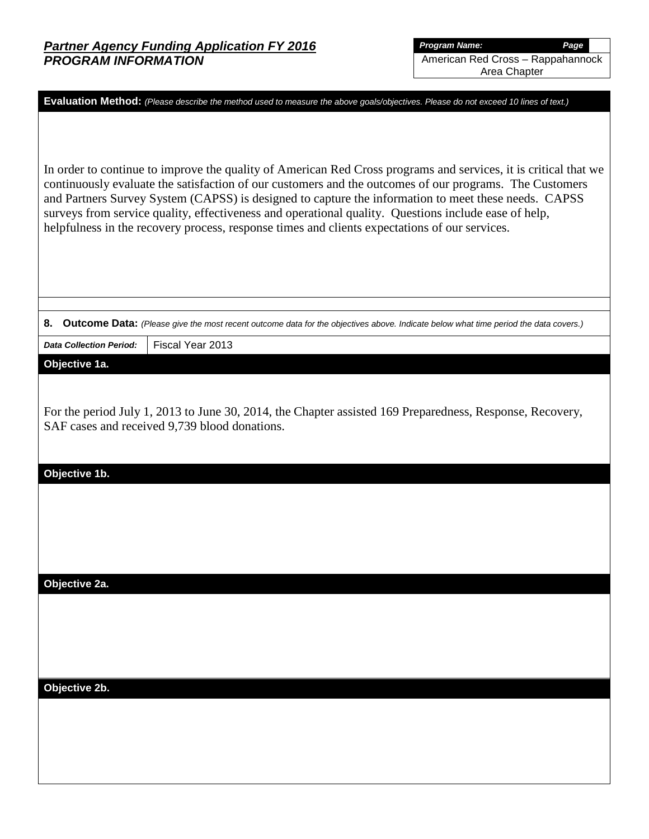|                                                                                                                                                                                                                                                                                                                                                                                                                                                                                                                                             | Evaluation Method: (Please describe the method used to measure the above goals/objectives. Please do not exceed 10 lines of text.)                        |  |  |  |  |  |  |  |  |
|---------------------------------------------------------------------------------------------------------------------------------------------------------------------------------------------------------------------------------------------------------------------------------------------------------------------------------------------------------------------------------------------------------------------------------------------------------------------------------------------------------------------------------------------|-----------------------------------------------------------------------------------------------------------------------------------------------------------|--|--|--|--|--|--|--|--|
|                                                                                                                                                                                                                                                                                                                                                                                                                                                                                                                                             |                                                                                                                                                           |  |  |  |  |  |  |  |  |
|                                                                                                                                                                                                                                                                                                                                                                                                                                                                                                                                             |                                                                                                                                                           |  |  |  |  |  |  |  |  |
| In order to continue to improve the quality of American Red Cross programs and services, it is critical that we<br>continuously evaluate the satisfaction of our customers and the outcomes of our programs. The Customers<br>and Partners Survey System (CAPSS) is designed to capture the information to meet these needs. CAPSS<br>surveys from service quality, effectiveness and operational quality. Questions include ease of help,<br>helpfulness in the recovery process, response times and clients expectations of our services. |                                                                                                                                                           |  |  |  |  |  |  |  |  |
|                                                                                                                                                                                                                                                                                                                                                                                                                                                                                                                                             |                                                                                                                                                           |  |  |  |  |  |  |  |  |
|                                                                                                                                                                                                                                                                                                                                                                                                                                                                                                                                             |                                                                                                                                                           |  |  |  |  |  |  |  |  |
| 8.                                                                                                                                                                                                                                                                                                                                                                                                                                                                                                                                          | Outcome Data: (Please give the most recent outcome data for the objectives above. Indicate below what time period the data covers.)                       |  |  |  |  |  |  |  |  |
| <b>Data Collection Period:</b>                                                                                                                                                                                                                                                                                                                                                                                                                                                                                                              | Fiscal Year 2013                                                                                                                                          |  |  |  |  |  |  |  |  |
| Objective 1a.                                                                                                                                                                                                                                                                                                                                                                                                                                                                                                                               |                                                                                                                                                           |  |  |  |  |  |  |  |  |
|                                                                                                                                                                                                                                                                                                                                                                                                                                                                                                                                             |                                                                                                                                                           |  |  |  |  |  |  |  |  |
|                                                                                                                                                                                                                                                                                                                                                                                                                                                                                                                                             | For the period July 1, 2013 to June 30, 2014, the Chapter assisted 169 Preparedness, Response, Recovery,<br>SAF cases and received 9,739 blood donations. |  |  |  |  |  |  |  |  |
| Objective 1b.                                                                                                                                                                                                                                                                                                                                                                                                                                                                                                                               |                                                                                                                                                           |  |  |  |  |  |  |  |  |
|                                                                                                                                                                                                                                                                                                                                                                                                                                                                                                                                             |                                                                                                                                                           |  |  |  |  |  |  |  |  |
|                                                                                                                                                                                                                                                                                                                                                                                                                                                                                                                                             |                                                                                                                                                           |  |  |  |  |  |  |  |  |
|                                                                                                                                                                                                                                                                                                                                                                                                                                                                                                                                             |                                                                                                                                                           |  |  |  |  |  |  |  |  |
|                                                                                                                                                                                                                                                                                                                                                                                                                                                                                                                                             |                                                                                                                                                           |  |  |  |  |  |  |  |  |
|                                                                                                                                                                                                                                                                                                                                                                                                                                                                                                                                             |                                                                                                                                                           |  |  |  |  |  |  |  |  |
| Objective 2a.                                                                                                                                                                                                                                                                                                                                                                                                                                                                                                                               |                                                                                                                                                           |  |  |  |  |  |  |  |  |
|                                                                                                                                                                                                                                                                                                                                                                                                                                                                                                                                             |                                                                                                                                                           |  |  |  |  |  |  |  |  |
|                                                                                                                                                                                                                                                                                                                                                                                                                                                                                                                                             |                                                                                                                                                           |  |  |  |  |  |  |  |  |
|                                                                                                                                                                                                                                                                                                                                                                                                                                                                                                                                             |                                                                                                                                                           |  |  |  |  |  |  |  |  |
|                                                                                                                                                                                                                                                                                                                                                                                                                                                                                                                                             |                                                                                                                                                           |  |  |  |  |  |  |  |  |
| Objective 2b.                                                                                                                                                                                                                                                                                                                                                                                                                                                                                                                               |                                                                                                                                                           |  |  |  |  |  |  |  |  |
|                                                                                                                                                                                                                                                                                                                                                                                                                                                                                                                                             |                                                                                                                                                           |  |  |  |  |  |  |  |  |
|                                                                                                                                                                                                                                                                                                                                                                                                                                                                                                                                             |                                                                                                                                                           |  |  |  |  |  |  |  |  |
|                                                                                                                                                                                                                                                                                                                                                                                                                                                                                                                                             |                                                                                                                                                           |  |  |  |  |  |  |  |  |
|                                                                                                                                                                                                                                                                                                                                                                                                                                                                                                                                             |                                                                                                                                                           |  |  |  |  |  |  |  |  |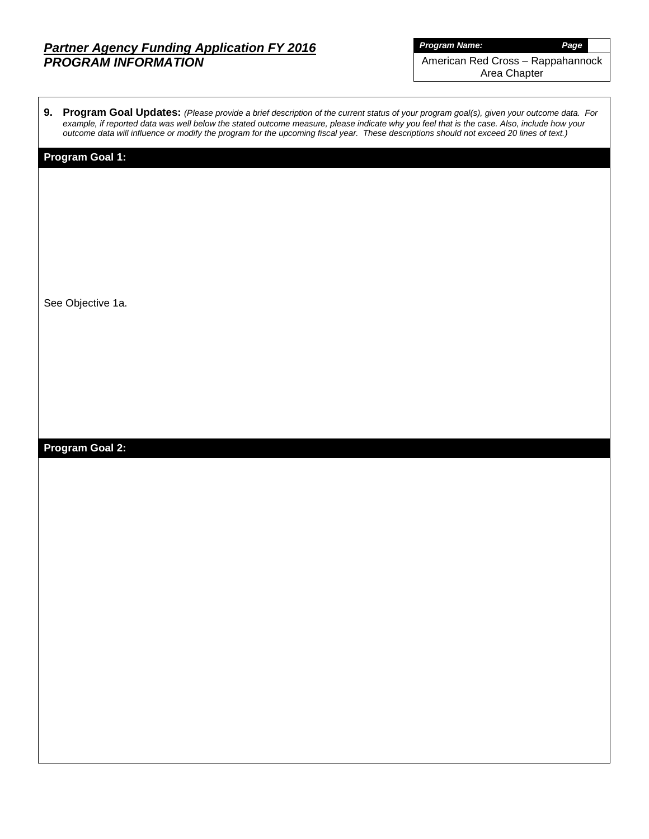*Program Name: Page* American Red Cross – Rappahannock

Area Chapter

| 9. Program Goal Updates: (Please provide a brief description of the current status of your program goal(s), given your outcome data. For   |
|--------------------------------------------------------------------------------------------------------------------------------------------|
| example, if reported data was well below the stated outcome measure, please indicate why you feel that is the case. Also, include how your |
| outcome data will influence or modify the program for the upcoming fiscal year. These descriptions should not exceed 20 lines of text.)    |

## **Program Goal 1:**

See Objective 1a.

# **Program Goal 2:**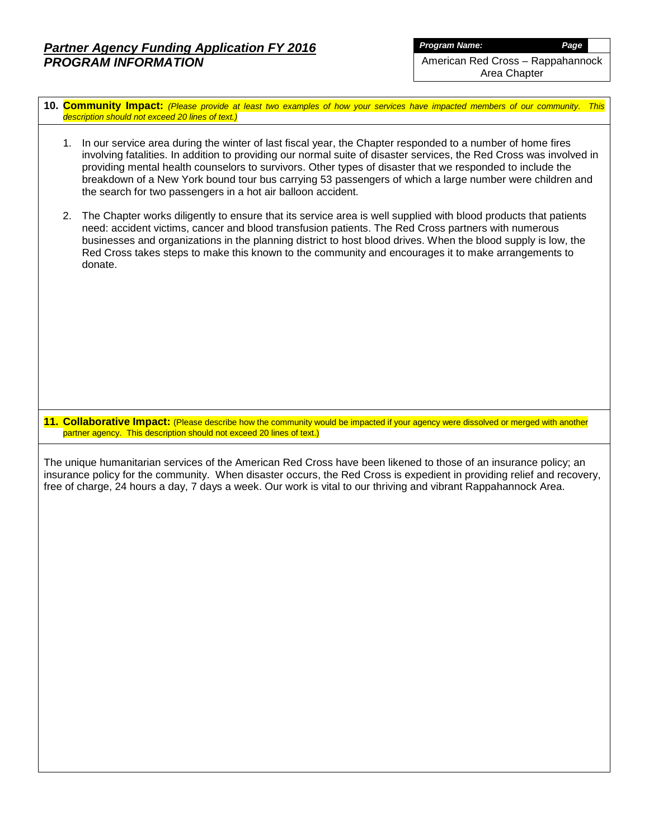*Program Name: Page*

American Red Cross – Rappahannock

Area Chapter

- **10. Community Impact:** *(Please provide at least two examples of how your services have impacted members of our community. This description should not exceed 20 lines of text.)*
	- 1. In our service area during the winter of last fiscal year, the Chapter responded to a number of home fires involving fatalities. In addition to providing our normal suite of disaster services, the Red Cross was involved in providing mental health counselors to survivors. Other types of disaster that we responded to include the breakdown of a New York bound tour bus carrying 53 passengers of which a large number were children and the search for two passengers in a hot air balloon accident.
	- 2. The Chapter works diligently to ensure that its service area is well supplied with blood products that patients need: accident victims, cancer and blood transfusion patients. The Red Cross partners with numerous businesses and organizations in the planning district to host blood drives. When the blood supply is low, the Red Cross takes steps to make this known to the community and encourages it to make arrangements to donate.

**11. Collaborative Impact:** (Please describe how the community would be impacted if your agency were dissolved or merged with another partner agency. This description should not exceed 20 lines of text.)

The unique humanitarian services of the American Red Cross have been likened to those of an insurance policy; an insurance policy for the community. When disaster occurs, the Red Cross is expedient in providing relief and recovery, free of charge, 24 hours a day, 7 days a week. Our work is vital to our thriving and vibrant Rappahannock Area.